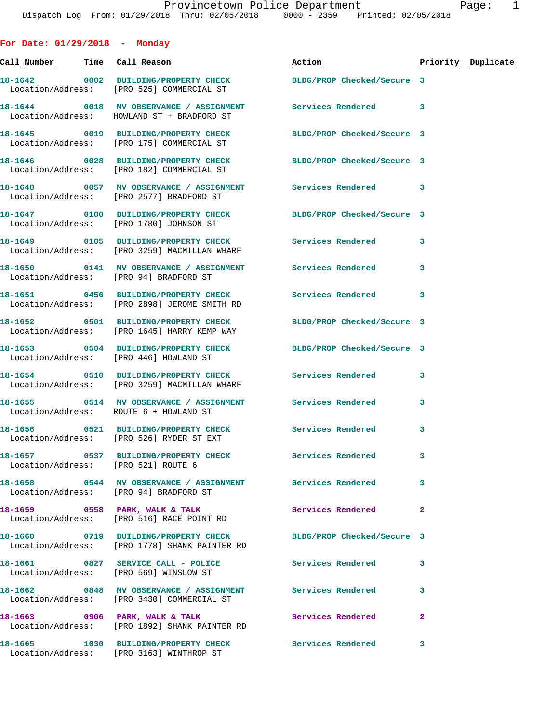| For Date: $01/29/2018$ - Monday        |                                                                                                                  |                          |              |                    |
|----------------------------------------|------------------------------------------------------------------------------------------------------------------|--------------------------|--------------|--------------------|
| <u>Call Number — Time Call Reason</u>  |                                                                                                                  | Action <b>Action</b>     |              | Priority Duplicate |
|                                        | 18-1642 0002 BUILDING/PROPERTY CHECK BLDG/PROP Checked/Secure 3<br>Location/Address: [PRO 525] COMMERCIAL ST     |                          |              |                    |
|                                        | 18-1644 0018 MV OBSERVANCE / ASSIGNMENT Services Rendered 3<br>Location/Address: HOWLAND ST + BRADFORD ST        |                          |              |                    |
|                                        | 18-1645 0019 BUILDING/PROPERTY CHECK BLDG/PROP Checked/Secure 3<br>Location/Address: [PRO 175] COMMERCIAL ST     |                          |              |                    |
|                                        | 18-1646 0028 BUILDING/PROPERTY CHECK BLDG/PROP Checked/Secure 3<br>Location/Address: [PRO 182] COMMERCIAL ST     |                          |              |                    |
|                                        | 18-1648 0057 MV OBSERVANCE / ASSIGNMENT Services Rendered 3<br>Location/Address: [PRO 2577] BRADFORD ST          |                          |              |                    |
|                                        | 18-1647  0100 BUILDING/PROPERTY CHECK BLDG/PROP Checked/Secure 3<br>Location/Address: [PRO 1780] JOHNSON ST      |                          |              |                    |
|                                        | Location/Address: [PRO 3259] MACMILLAN WHARF                                                                     |                          | 3            |                    |
| Location/Address: [PRO 94] BRADFORD ST |                                                                                                                  |                          | 3            |                    |
|                                        | 18-1651 0456 BUILDING/PROPERTY CHECK Services Rendered<br>Location/Address: [PRO 2898] JEROME SMITH RD           |                          | 3            |                    |
|                                        | 18-1652 0501 BUILDING/PROPERTY CHECK BLDG/PROP Checked/Secure 3<br>Location/Address: [PRO 1645] HARRY KEMP WAY   |                          |              |                    |
|                                        | 18-1653 0504 BUILDING/PROPERTY CHECK BLDG/PROP Checked/Secure 3<br>Location/Address: [PRO 446] HOWLAND ST        |                          |              |                    |
|                                        | 18-1654 0510 BUILDING/PROPERTY CHECK Services Rendered 3<br>Location/Address: [PRO 3259] MACMILLAN WHARF         |                          |              |                    |
|                                        | 18-1655 0514 MV OBSERVANCE / ASSIGNMENT Services Rendered<br>Location/Address: ROUTE 6 + HOWLAND ST              |                          | 3            |                    |
|                                        | 18-1656 0521 BUILDING/PROPERTY CHECK Services Rendered 3<br>Location/Address: [PRO 526] RYDER ST EXT             |                          |              |                    |
| Location/Address: [PRO 521] ROUTE 6    | 18-1657 6537 BUILDING/PROPERTY CHECK Services Rendered                                                           |                          | 3            |                    |
| Location/Address: [PRO 94] BRADFORD ST |                                                                                                                  |                          | 3            |                    |
|                                        | 18-1659 0558 PARK, WALK & TALK<br>Location/Address: [PRO 516] RACE POINT RD                                      | <b>Services Rendered</b> | $\mathbf{2}$ |                    |
|                                        | 18-1660 0719 BUILDING/PROPERTY CHECK BLDG/PROP Checked/Secure 3<br>Location/Address: [PRO 1778] SHANK PAINTER RD |                          |              |                    |
|                                        | 18-1661 0827 SERVICE CALL - POLICE<br>Location/Address: [PRO 569] WINSLOW ST                                     | <b>Services Rendered</b> | 3            |                    |
|                                        | 18-1662 6848 MV OBSERVANCE / ASSIGNMENT Services Rendered<br>Location/Address: [PRO 3430] COMMERCIAL ST          |                          | 3            |                    |
|                                        | 18-1663 0906 PARK, WALK & TALK<br>Location/Address: [PRO 1892] SHANK PAINTER RD                                  | <b>Services Rendered</b> | $\mathbf{2}$ |                    |
|                                        | 18-1665 1030 BUILDING/PROPERTY CHECK Services Rendered 3<br>Location/Address: [PRO 3163] WINTHROP ST             |                          |              |                    |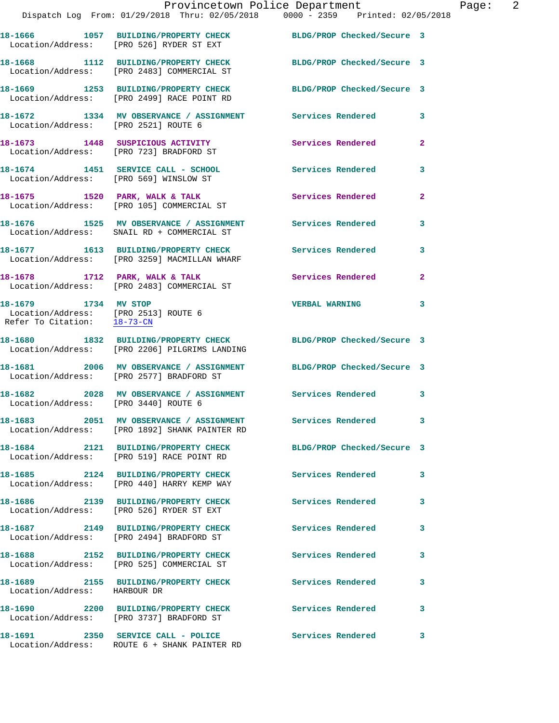|                                                                     |                                                                                                                  | Provincetown Police Department | Page: 2                 |
|---------------------------------------------------------------------|------------------------------------------------------------------------------------------------------------------|--------------------------------|-------------------------|
|                                                                     | Dispatch Log From: 01/29/2018 Thru: 02/05/2018   0000 - 2359   Printed: 02/05/2018                               |                                |                         |
|                                                                     | 18-1666 1057 BUILDING/PROPERTY CHECK BLDG/PROP Checked/Secure 3<br>Location/Address: [PRO 526] RYDER ST EXT      |                                |                         |
|                                                                     | 18-1668 1112 BUILDING/PROPERTY CHECK BLDG/PROP Checked/Secure 3<br>Location/Address: [PRO 2483] COMMERCIAL ST    |                                |                         |
|                                                                     | 18-1669 1253 BUILDING/PROPERTY CHECK BLDG/PROP Checked/Secure 3<br>Location/Address: [PRO 2499] RACE POINT RD    |                                |                         |
| Location/Address: [PRO 2521] ROUTE 6                                | 18-1672 1334 MV OBSERVANCE / ASSIGNMENT Services Rendered                                                        |                                | 3                       |
|                                                                     | 18-1673 1448 SUSPICIOUS ACTIVITY 1991 Services Rendered<br>Location/Address: [PRO 723] BRADFORD ST               |                                | $\overline{\mathbf{2}}$ |
|                                                                     | 18-1674 1451 SERVICE CALL - SCHOOL Services Rendered<br>Location/Address: [PRO 569] WINSLOW ST                   |                                | 3                       |
|                                                                     | 18-1675 1520 PARK, WALK & TALK 1999 Services Rendered Location/Address: [PRO 105] COMMERCIAL ST                  |                                | $\overline{a}$          |
|                                                                     |                                                                                                                  |                                | 3                       |
|                                                                     | 18-1677 1613 BUILDING/PROPERTY CHECK<br>Location/Address: [PRO 3259] MACMILLAN WHARF                             | <b>Services Rendered</b>       | 3                       |
|                                                                     | 18-1678 1712 PARK, WALK & TALK<br>Location/Address: [PRO 2483] COMMERCIAL ST                                     | <b>Services Rendered</b>       | $\overline{2}$          |
| Location/Address: [PRO 2513] ROUTE 6<br>Refer To Citation: 18-73-CN | 18-1679 1734 MV STOP                                                                                             | <b>VERBAL WARNING</b>          | 3                       |
|                                                                     | 18-1680 1832 BUILDING/PROPERTY CHECK BLDG/PROP Checked/Secure 3<br>Location/Address: [PRO 2206] PILGRIMS LANDING |                                |                         |
|                                                                     | 18-1681 2006 MV OBSERVANCE / ASSIGNMENT BLDG/PROP Checked/Secure 3<br>Location/Address: [PRO 2577] BRADFORD ST   |                                |                         |
| 18-1682                                                             | 2028 MV OBSERVANCE / ASSIGNMENT Services Rendered 3<br>Location/Address: [PRO 3440] ROUTE 6                      |                                |                         |
|                                                                     | 18-1683 2051 MV OBSERVANCE / ASSIGNMENT Services Rendered<br>Location/Address: [PRO 1892] SHANK PAINTER RD       |                                | 3                       |
|                                                                     | 18-1684 2121 BUILDING/PROPERTY CHECK<br>Location/Address: [PRO 519] RACE POINT RD                                | BLDG/PROP Checked/Secure 3     |                         |
|                                                                     | 18-1685 2124 BUILDING/PROPERTY CHECK Services Rendered<br>Location/Address: [PRO 440] HARRY KEMP WAY             |                                | 3                       |
|                                                                     | 18-1686 2139 BUILDING/PROPERTY CHECK<br>Location/Address: [PRO 526] RYDER ST EXT                                 | Services Rendered              | 3                       |
|                                                                     | 18-1687 2149 BUILDING/PROPERTY CHECK<br>Location/Address: [PRO 2494] BRADFORD ST                                 | <b>Services Rendered</b>       | 3                       |
|                                                                     | 18-1688 2152 BUILDING/PROPERTY CHECK<br>Location/Address: [PRO 525] COMMERCIAL ST                                | <b>Services Rendered</b>       | 3                       |
| Location/Address: HARBOUR DR                                        | 18-1689 2155 BUILDING/PROPERTY CHECK Services Rendered                                                           |                                | 3                       |
|                                                                     | 18-1690 2200 BUILDING/PROPERTY CHECK Services Rendered<br>Location/Address: [PRO 3737] BRADFORD ST               |                                | 3                       |

**18-1691 2350 SERVICE CALL - POLICE Services Rendered 3**  Location/Address: ROUTE 6 + SHANK PAINTER RD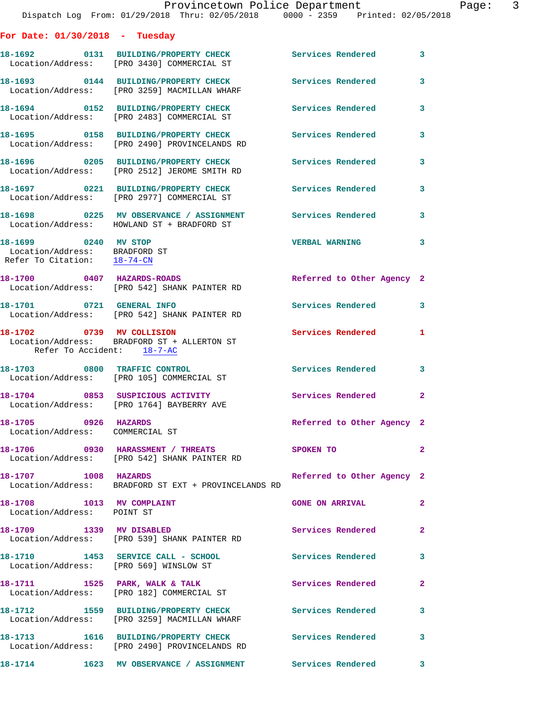| For Date: $01/30/2018$ - Tuesday                                                     |                                                                                                         |                            |                |
|--------------------------------------------------------------------------------------|---------------------------------------------------------------------------------------------------------|----------------------------|----------------|
|                                                                                      | 18-1692 0131 BUILDING/PROPERTY CHECK<br>Location/Address: [PRO 3430] COMMERCIAL ST                      | Services Rendered          | 3              |
|                                                                                      | 18-1693 0144 BUILDING/PROPERTY CHECK<br>Location/Address: [PRO 3259] MACMILLAN WHARF                    | <b>Services Rendered</b>   | 3              |
|                                                                                      | 18-1694 0152 BUILDING/PROPERTY CHECK Services Rendered<br>Location/Address: [PRO 2483] COMMERCIAL ST    |                            | 3              |
|                                                                                      | 18-1695 0158 BUILDING/PROPERTY CHECK<br>Location/Address: [PRO 2490] PROVINCELANDS RD                   | <b>Services Rendered</b>   | 3              |
|                                                                                      | 18-1696 0205 BUILDING/PROPERTY CHECK<br>Location/Address: [PRO 2512] JEROME SMITH RD                    | <b>Services Rendered</b>   | 3              |
|                                                                                      | 18-1697 0221 BUILDING/PROPERTY CHECK<br>Location/Address: [PRO 2977] COMMERCIAL ST                      | <b>Services Rendered</b>   | 3              |
|                                                                                      | 18-1698 0225 MV OBSERVANCE / ASSIGNMENT<br>Location/Address: HOWLAND ST + BRADFORD ST                   | Services Rendered          | 3              |
| 18-1699 0240 MV STOP<br>Location/Address: BRADFORD ST<br>Refer To Citation: 18-74-CN |                                                                                                         | <b>VERBAL WARNING</b>      | 3              |
|                                                                                      | 18-1700 0407 HAZARDS-ROADS<br>Location/Address: [PRO 542] SHANK PAINTER RD                              | Referred to Other Agency 2 |                |
| 18-1701 0721 GENERAL INFO                                                            | Location/Address: [PRO 542] SHANK PAINTER RD                                                            | Services Rendered          | 3              |
| 18-1702 0739 MV COLLISION<br>Refer To Accident: 18-7-AC                              | Location/Address: BRADFORD ST + ALLERTON ST                                                             | <b>Services Rendered</b>   | 1              |
| 18-1703 0800 TRAFFIC CONTROL                                                         | Location/Address: [PRO 105] COMMERCIAL ST                                                               | Services Rendered          | 3              |
|                                                                                      | 18-1704 0853 SUSPICIOUS ACTIVITY<br>Location/Address: [PRO 1764] BAYBERRY AVE                           | <b>Services Rendered</b>   | $\overline{2}$ |
| 18-1705 0926 HAZARDS<br>Location/Address: COMMERCIAL ST                              |                                                                                                         | Referred to Other Agency 2 |                |
|                                                                                      | 18-1706 0930 HARASSMENT / THREATS<br>Location/Address: [PRO 542] SHANK PAINTER RD                       | SPOKEN TO                  | 2              |
| 18-1707 1008 HAZARDS                                                                 | Location/Address: BRADFORD ST EXT + PROVINCELANDS RD                                                    | Referred to Other Agency 2 |                |
| 18-1708 1013 MV COMPLAINT<br>Location/Address: POINT ST                              |                                                                                                         | <b>GONE ON ARRIVAL</b>     | $\mathbf{2}$   |
| 18-1709 1339 MV DISABLED                                                             | Location/Address: [PRO 539] SHANK PAINTER RD                                                            | Services Rendered          | $\overline{a}$ |
| Location/Address: [PRO 569] WINSLOW ST                                               | 18-1710 1453 SERVICE CALL - SCHOOL                                                                      | <b>Services Rendered</b>   | 3              |
|                                                                                      | 18-1711 1525 PARK, WALK & TALK<br>Location/Address: [PRO 182] COMMERCIAL ST                             | Services Rendered          | $\mathbf{2}$   |
|                                                                                      | 18-1712 1559 BUILDING/PROPERTY CHECK<br>Location/Address: [PRO 3259] MACMILLAN WHARF                    | <b>Services Rendered</b>   | 3              |
|                                                                                      | 18-1713 1616 BUILDING/PROPERTY CHECK Services Rendered<br>Location/Address: [PRO 2490] PROVINCELANDS RD |                            | 3              |
|                                                                                      | 18-1714      1623  MV OBSERVANCE / ASSIGNMENT      Services Rendered                                    |                            | 3              |

Dispatch Log From: 01/29/2018 Thru: 02/05/2018 0000 - 2359 Printed: 02/05/2018

Provincetown Police Department Page: 3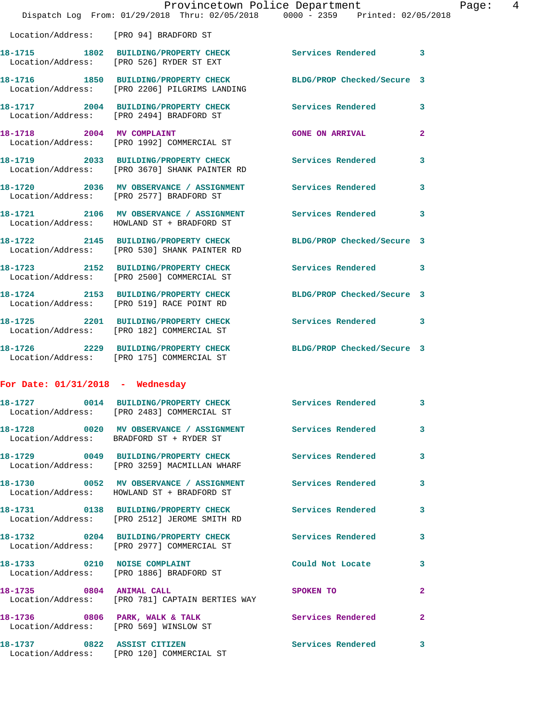|                                        | Provincetown Police Department<br>Dispatch Log From: 01/29/2018 Thru: 02/05/2018 0000 - 2359 Printed: 02/05/2018 |                            |              |
|----------------------------------------|------------------------------------------------------------------------------------------------------------------|----------------------------|--------------|
| Location/Address: [PRO 94] BRADFORD ST |                                                                                                                  |                            |              |
|                                        | 18-1715 1802 BUILDING/PROPERTY CHECK<br>Location/Address: [PRO 526] RYDER ST EXT                                 | Services Rendered          | 3            |
|                                        | 18-1716 1850 BUILDING/PROPERTY CHECK<br>Location/Address: [PRO 2206] PILGRIMS LANDING                            | BLDG/PROP Checked/Secure 3 |              |
|                                        | 18-1717 2004 BUILDING/PROPERTY CHECK<br>Location/Address: [PRO 2494] BRADFORD ST                                 | <b>Services Rendered</b>   | 3            |
|                                        | 18-1718 2004 MV COMPLAINT<br>Location/Address: [PRO 1992] COMMERCIAL ST                                          | <b>GONE ON ARRIVAL</b>     | $\mathbf{2}$ |
|                                        | 18-1719 2033 BUILDING/PROPERTY CHECK Services Rendered<br>Location/Address: [PRO 3670] SHANK PAINTER RD          |                            | 3            |
|                                        | 18-1720 2036 MV OBSERVANCE / ASSIGNMENT Services Rendered<br>Location/Address: [PRO 2577] BRADFORD ST            |                            | 3            |
|                                        | 18-1721 2106 MV OBSERVANCE / ASSIGNMENT Services Rendered<br>Location/Address: HOWLAND ST + BRADFORD ST          |                            | 3            |
|                                        | 18-1722 2145 BUILDING/PROPERTY CHECK<br>Location/Address: [PRO 530] SHANK PAINTER RD                             | BLDG/PROP Checked/Secure 3 |              |
|                                        | 18-1723 2152 BUILDING/PROPERTY CHECK Services Rendered<br>Location/Address: [PRO 2500] COMMERCIAL ST             |                            | 3            |
|                                        | 18-1724 2153 BUILDING/PROPERTY CHECK<br>Location/Address: [PRO 519] RACE POINT RD                                | BLDG/PROP Checked/Secure 3 |              |
|                                        | 18-1725 2201 BUILDING/PROPERTY CHECK<br>Location/Address: [PRO 182] COMMERCIAL ST                                | Services Rendered          | 3            |
|                                        | 18-1726 2229 BUILDING/PROPERTY CHECK<br>Location/Address: [PRO 175] COMMERCIAL ST                                | BLDG/PROP Checked/Secure 3 |              |
| For Date: $01/31/2018$ - Wednesday     |                                                                                                                  |                            |              |
|                                        | 18-1727 0014 BUILDING/PROPERTY CHECK Services Rendered<br>Location/Address: [PRO 2483] COMMERCIAL ST             |                            | 3            |
|                                        | 18-1728 		 0020 MV OBSERVANCE / ASSIGNMENT Services Rendered<br>Location/Address: BRADFORD ST + RYDER ST         |                            | 3            |
|                                        | 18-1729 		 0049 BUILDING/PROPERTY CHECK Services Rendered<br>Location/Address: [PRO 3259] MACMILLAN WHARF        |                            | 3            |
|                                        | 18-1730 0052 MV OBSERVANCE / ASSIGNMENT Services Rendered<br>Location/Address: HOWLAND ST + BRADFORD ST          |                            | 3            |
|                                        | 18-1731 0138 BUILDING/PROPERTY CHECK Services Rendered<br>Location/Address: [PRO 2512] JEROME SMITH RD           |                            | 3            |
|                                        | 18-1732 0204 BUILDING/PROPERTY CHECK Services Rendered<br>Location/Address: [PRO 2977] COMMERCIAL ST             |                            | 3            |
|                                        | 18-1733 0210 NOISE COMPLAINT<br>Location/Address: [PRO 1886] BRADFORD ST                                         | Could Not Locate           | 3            |
| 18-1735 0804 ANIMAL CALL               | Location/Address: [PRO 781] CAPTAIN BERTIES WAY                                                                  | <b>SPOKEN TO</b>           | 2            |
|                                        | 18-1736 0806 PARK, WALK & TALK<br>Location/Address: [PRO 569] WINSLOW ST                                         | Services Rendered          | $\mathbf{2}$ |
| 18-1737 0822 ASSIST CITIZEN            | Location/Address: [PRO 120] COMMERCIAL ST                                                                        | <b>Services Rendered</b>   | 3            |

Page: 4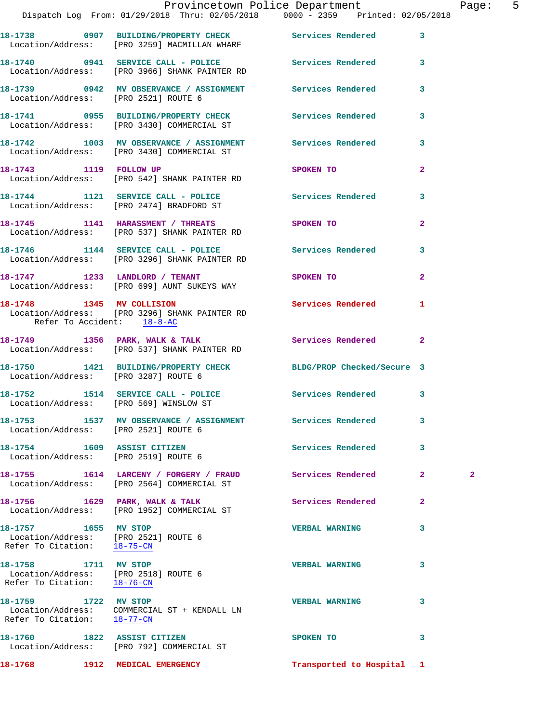|                                                                                             | Provincetown Police Department The Page: 5<br>Dispatch Log From: $01/29/2018$ Thru: $02/05/2018$ 0000 - 2359 Printed: 02/05/2018 |                           |                |                |  |
|---------------------------------------------------------------------------------------------|----------------------------------------------------------------------------------------------------------------------------------|---------------------------|----------------|----------------|--|
|                                                                                             | 18-1738 0907 BUILDING/PROPERTY CHECK Services Rendered 3                                                                         |                           |                |                |  |
|                                                                                             | Location/Address: [PRO 3259] MACMILLAN WHARF                                                                                     |                           |                |                |  |
|                                                                                             |                                                                                                                                  |                           |                |                |  |
| Location/Address: [PRO 2521] ROUTE 6                                                        | 18-1739 0942 MV OBSERVANCE / ASSIGNMENT Services Rendered 3                                                                      |                           |                |                |  |
|                                                                                             | 18-1741 0955 BUILDING/PROPERTY CHECK Services Rendered 3<br>Location/Address: [PRO 3430] COMMERCIAL ST                           |                           |                |                |  |
|                                                                                             | 18-1742 1003 MV OBSERVANCE / ASSIGNMENT Services Rendered 3<br>Location/Address: [PRO 3430] COMMERCIAL ST                        |                           |                |                |  |
|                                                                                             | 18-1743 1119 FOLLOW UP SPOKEN TO<br>Location/Address: [PRO 542] SHANK PAINTER RD                                                 |                           | $\mathbf{2}$   |                |  |
|                                                                                             | 18-1744 1121 SERVICE CALL - POLICE Services Rendered 3<br>Location/Address: [PRO 2474] BRADFORD ST                               |                           |                |                |  |
|                                                                                             | 18-1745 1141 HARASSMENT / THREATS SPOKEN TO<br>Location/Address: [PRO 537] SHANK PAINTER RD                                      |                           | $\overline{2}$ |                |  |
|                                                                                             | 18-1746 1144 SERVICE CALL - POLICE 3 Services Rendered 3<br>Location/Address: [PRO 3296] SHANK PAINTER RD                        |                           |                |                |  |
|                                                                                             | 18-1747 1233 LANDLORD / TENANT SPOKEN TO<br>Location/Address: [PRO 699] AUNT SUKEYS WAY                                          |                           | $\overline{2}$ |                |  |
| Refer To Accident: 18-8-AC                                                                  | 18-1748 1345 MV COLLISION 5ervices Rendered 1<br>Location/Address: [PRO 3296] SHANK PAINTER RD                                   |                           |                |                |  |
|                                                                                             | 18-1749 1356 PARK, WALK & TALK 1988 Services Rendered 2<br>Location/Address: [PRO 537] SHANK PAINTER RD                          |                           |                |                |  |
| Location/Address: [PRO 3287] ROUTE 6                                                        | 18-1750 1421 BUILDING/PROPERTY CHECK BLDG/PROP Checked/Secure 3                                                                  |                           |                |                |  |
|                                                                                             | 18-1752 1514 SERVICE CALL - POLICE Services Rendered 3<br>Location/Address: [PRO 569] WINSLOW ST                                 |                           |                |                |  |
| Location/Address: [PRO 2521] ROUTE 6                                                        | 18-1753                 1537     MV  OBSERVANCE  /  ASSIGNMENT                  Services  Rendered                               |                           | 3              |                |  |
| Location/Address: [PRO 2519] ROUTE 6                                                        | 18-1754 1609 ASSIST CITIZEN                                                                                                      | Services Rendered         | $\mathbf{3}$   |                |  |
|                                                                                             | 18-1755 1614 LARCENY / FORGERY / FRAUD Services Rendered 2<br>Location/Address: [PRO 2564] COMMERCIAL ST                         |                           |                | $\overline{a}$ |  |
|                                                                                             | 18-1756 1629 PARK, WALK & TALK<br>Location/Address: [PRO 1952] COMMERCIAL ST                                                     | Services Rendered         | $\mathbf{2}$   |                |  |
| 18-1757 1655 MV STOP<br>Location/Address: [PRO 2521] ROUTE 6<br>Refer To Citation: 18-75-CN |                                                                                                                                  | <b>VERBAL WARNING</b>     | 3              |                |  |
| 18-1758 1711 MV STOP<br>Location/Address: [PRO 2518] ROUTE 6<br>Refer To Citation: 18-76-CN |                                                                                                                                  | <b>VERBAL WARNING</b>     | 3              |                |  |
| 18-1759 1722 MV STOP<br>Refer To Citation: 18-77-CN                                         | Location/Address: COMMERCIAL ST + KENDALL LN                                                                                     | <b>VERBAL WARNING</b>     | 3              |                |  |
|                                                                                             | 18-1760 1822 ASSIST CITIZEN<br>Location/Address: [PRO 792] COMMERCIAL ST                                                         | SPOKEN TO                 | 3              |                |  |
| 18-1768                                                                                     | 1912 MEDICAL EMERGENCY                                                                                                           | Transported to Hospital 1 |                |                |  |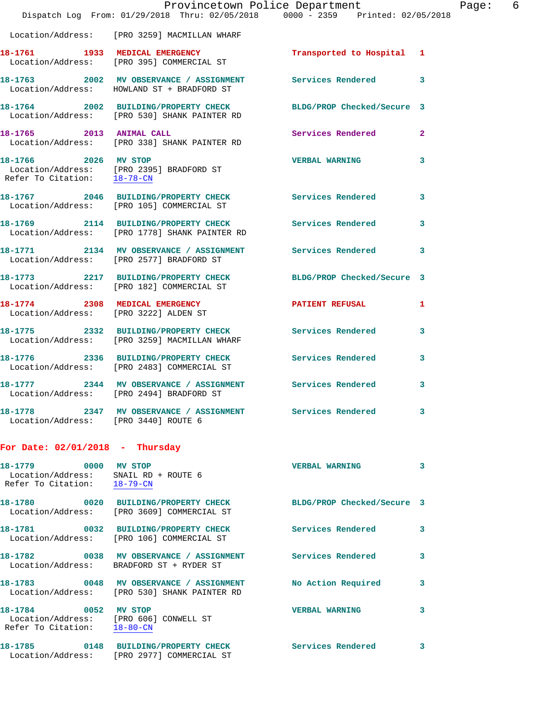|                                                                                                          | Provincetown Police Department<br>Dispatch Log From: 01/29/2018 Thru: 02/05/2018 0000 - 2359 Printed: 02/05/2018 |                       | Page: 6      |
|----------------------------------------------------------------------------------------------------------|------------------------------------------------------------------------------------------------------------------|-----------------------|--------------|
|                                                                                                          | Location/Address: [PRO 3259] MACMILLAN WHARF                                                                     |                       |              |
|                                                                                                          | 18-1761 1933 MEDICAL EMERGENCY Transported to Hospital 1 Location/Address: [PRO 395] COMMERCIAL ST               |                       |              |
|                                                                                                          | 18-1763 2002 MV OBSERVANCE / ASSIGNMENT Services Rendered 3<br>Location/Address: HOWLAND ST + BRADFORD ST        |                       |              |
|                                                                                                          | 18-1764 2002 BUILDING/PROPERTY CHECK BLDG/PROP Checked/Secure 3<br>Location/Address: [PRO 530] SHANK PAINTER RD  |                       |              |
|                                                                                                          | 18-1765 2013 ANIMAL CALL<br>Location/Address: [PRO 338] SHANK PAINTER RD                                         | Services Rendered     | $\mathbf{2}$ |
| Refer To Citation: 18-78-CN                                                                              | 18-1766 2026 MV STOP<br>Location/Address: [PRO 2395] BRADFORD ST                                                 | VERBAL WARNING 3      |              |
|                                                                                                          | 18-1767 2046 BUILDING/PROPERTY CHECK Services Rendered<br>Location/Address: [PRO 105] COMMERCIAL ST              |                       | 3            |
|                                                                                                          | 18-1769 2114 BUILDING/PROPERTY CHECK Services Rendered 3<br>Location/Address: [PRO 1778] SHANK PAINTER RD        |                       |              |
|                                                                                                          | 18-1771 2134 MV OBSERVANCE / ASSIGNMENT Services Rendered 3<br>Location/Address: [PRO 2577] BRADFORD ST          |                       |              |
|                                                                                                          | 18-1773 2217 BUILDING/PROPERTY CHECK BLDG/PROP Checked/Secure 3<br>Location/Address: [PRO 182] COMMERCIAL ST     |                       |              |
|                                                                                                          | 18-1774 2308 MEDICAL EMERGENCY<br>Location/Address: [PRO 3222] ALDEN ST                                          | PATIENT REFUSAL 1     |              |
|                                                                                                          | 18-1775 2332 BUILDING/PROPERTY CHECK Services Rendered<br>Location/Address: [PRO 3259] MACMILLAN WHARF           |                       | 3            |
|                                                                                                          | 18-1776 2336 BUILDING/PROPERTY CHECK Services Rendered 3<br>Location/Address: [PRO 2483] COMMERCIAL ST           |                       |              |
|                                                                                                          | 18-1777 2344 MV OBSERVANCE / ASSIGNMENT Services Rendered<br>Location/Address: [PRO 2494] BRADFORD ST            |                       | 3            |
| Location/Address: [PRO 3440] ROUTE 6                                                                     | 18-1778 2347 MV OBSERVANCE / ASSIGNMENT                                                                          | Services Rendered     | 3            |
| For Date: $02/01/2018$ - Thursday                                                                        |                                                                                                                  |                       |              |
| 18-1779 0000 MV STOP<br>Location/Address: SNAIL RD + ROUTE 6<br>Refer To Citation: $\frac{18-79-CN}{\ }$ |                                                                                                                  | <b>VERBAL WARNING</b> | 3            |
|                                                                                                          | 18-1780 0020 BUILDING/PROPERTY CHECK BLDG/PROP Checked/Secure 3<br>Location/Address: [PRO 3609] COMMERCIAL ST    |                       |              |
|                                                                                                          | 18-1781 0032 BUILDING/PROPERTY CHECK<br>Location/Address: [PRO 106] COMMERCIAL ST                                | Services Rendered     | 3            |
|                                                                                                          | 18-1782 0038 MV OBSERVANCE / ASSIGNMENT<br>Location/Address: BRADFORD ST + RYDER ST                              | Services Rendered     | 3            |
|                                                                                                          | 18-1783 0048 MV OBSERVANCE / ASSIGNMENT<br>Location/Address: [PRO 530] SHANK PAINTER RD                          | No Action Required    | 3            |
| 18-1784 0052 MV STOP<br>Refer To Citation: 18-80-CN                                                      | Location/Address: [PRO 606] CONWELL ST                                                                           | <b>VERBAL WARNING</b> | 3            |
|                                                                                                          | 18-1785 0148 BUILDING/PROPERTY CHECK Services Rendered<br>Location/Address: [PRO 2977] COMMERCIAL ST             |                       | 3            |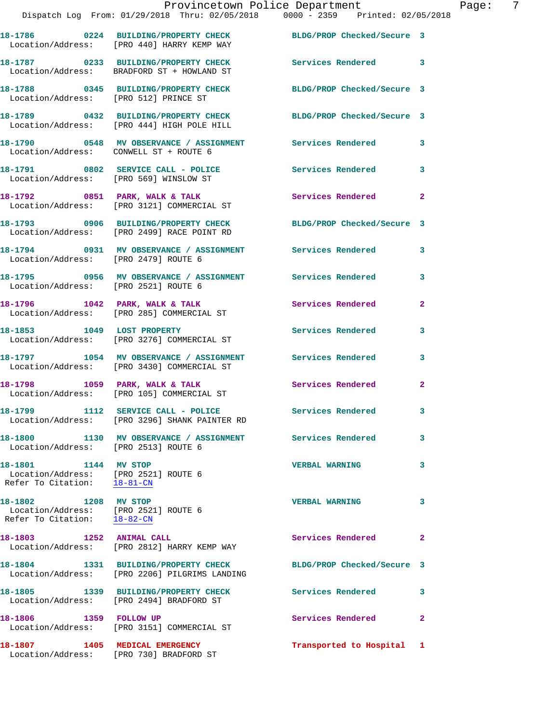|                                                                                             | Provincetown Police Department<br>Dispatch Log From: 01/29/2018 Thru: 02/05/2018 0000 - 2359 Printed: 02/05/2018 |                            |              |
|---------------------------------------------------------------------------------------------|------------------------------------------------------------------------------------------------------------------|----------------------------|--------------|
|                                                                                             | 18-1786 0224 BUILDING/PROPERTY CHECK BLDG/PROP Checked/Secure 3<br>Location/Address: [PRO 440] HARRY KEMP WAY    |                            |              |
|                                                                                             | 18-1787 0233 BUILDING/PROPERTY CHECK Services Rendered<br>Location/Address: BRADFORD ST + HOWLAND ST             |                            | 3            |
| Location/Address: [PRO 512] PRINCE ST                                                       | 18-1788 0345 BUILDING/PROPERTY CHECK BLDG/PROP Checked/Secure 3                                                  |                            |              |
|                                                                                             | 18-1789 0432 BUILDING/PROPERTY CHECK<br>Location/Address: [PRO 444] HIGH POLE HILL                               | BLDG/PROP Checked/Secure 3 |              |
| Location/Address: CONWELL ST + ROUTE 6                                                      | 18-1790 0548 MV OBSERVANCE / ASSIGNMENT Services Rendered                                                        |                            | 3            |
| Location/Address: [PRO 569] WINSLOW ST                                                      | 18-1791 0802 SERVICE CALL - POLICE                                                                               | Services Rendered          | 3            |
|                                                                                             | 18-1792 0851 PARK, WALK & TALK<br>Location/Address: [PRO 3121] COMMERCIAL ST                                     | <b>Services Rendered</b>   | 2            |
|                                                                                             | 18-1793 0906 BUILDING/PROPERTY CHECK<br>Location/Address: [PRO 2499] RACE POINT RD                               | BLDG/PROP Checked/Secure 3 |              |
| Location/Address: [PRO 2479] ROUTE 6                                                        | 18-1794 0931 MV OBSERVANCE / ASSIGNMENT Services Rendered                                                        |                            | 3            |
| Location/Address: [PRO 2521] ROUTE 6                                                        | 18-1795 6956 MV OBSERVANCE / ASSIGNMENT Services Rendered                                                        |                            | 3            |
|                                                                                             | 18-1796 1042 PARK, WALK & TALK 1988 18 Services Rendered<br>Location/Address: [PRO 285] COMMERCIAL ST            |                            | 2            |
| 18-1853 1049 LOST PROPERTY                                                                  | Location/Address: [PRO 3276] COMMERCIAL ST                                                                       | Services Rendered          | 3            |
|                                                                                             | 18-1797 1054 MV OBSERVANCE / ASSIGNMENT Services Rendered<br>Location/Address: [PRO 3430] COMMERCIAL ST          |                            | 3            |
| 18-1798 1059 PARK, WALK & TALK                                                              | Location/Address: [PRO 105] COMMERCIAL ST                                                                        | Services Rendered          | $\mathbf{2}$ |
|                                                                                             | 18-1799 1112 SERVICE CALL - POLICE<br>Location/Address: [PRO 3296] SHANK PAINTER RD                              | Services Rendered          | 3            |
| Location/Address: [PRO 2513] ROUTE 6                                                        |                                                                                                                  | <b>Services Rendered</b>   | 3            |
| 18-1801 1144 MV STOP<br>Location/Address: [PRO 2521] ROUTE 6<br>Refer To Citation: 18-81-CN |                                                                                                                  | <b>VERBAL WARNING</b>      | 3            |
| 18-1802 1208 MV STOP<br>Location/Address: [PRO 2521] ROUTE 6<br>Refer To Citation: 18-82-CN |                                                                                                                  | <b>VERBAL WARNING</b>      | 3            |
| 18-1803 1252 ANIMAL CALL                                                                    | Location/Address: [PRO 2812] HARRY KEMP WAY                                                                      | Services Rendered          | 2            |
|                                                                                             | 18-1804 1331 BUILDING/PROPERTY CHECK<br>Location/Address: [PRO 2206] PILGRIMS LANDING                            | BLDG/PROP Checked/Secure 3 |              |
|                                                                                             | 18-1805 1339 BUILDING/PROPERTY CHECK<br>Location/Address: [PRO 2494] BRADFORD ST                                 | Services Rendered          | 3            |
| 18-1806   1359   FOLLOW UP                                                                  | Location/Address: [PRO 3151] COMMERCIAL ST                                                                       | Services Rendered          | $\mathbf{2}$ |
|                                                                                             |                                                                                                                  | Transported to Hospital 1  |              |

Location/Address: [PRO 730] BRADFORD ST

Page: 7<br>18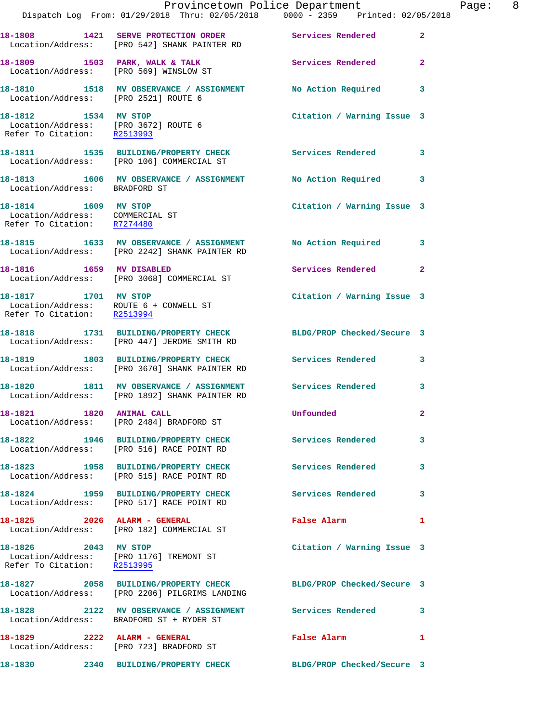|                                                                                             | Dispatch Log From: 01/29/2018 Thru: 02/05/2018 0000 - 2359 Printed: 02/05/2018                                   | Provincetown Police Department              | Page: 8      |
|---------------------------------------------------------------------------------------------|------------------------------------------------------------------------------------------------------------------|---------------------------------------------|--------------|
|                                                                                             | 18-1808 1421 SERVE PROTECTION ORDER Services Rendered<br>Location/Address: [PRO 542] SHANK PAINTER RD            |                                             | $\mathbf{2}$ |
|                                                                                             | 18-1809 1503 PARK, WALK & TALK 1999 Services Rendered<br>Location/Address: [PRO 569] WINSLOW ST                  |                                             | $\mathbf{2}$ |
|                                                                                             | 18-1810 1518 MV OBSERVANCE / ASSIGNMENT No Action Required<br>Location/Address: [PRO 2521] ROUTE 6               |                                             | 3            |
| 18-1812 1534 MV STOP<br>Location/Address: [PRO 3672] ROUTE 6<br>Refer To Citation: R2513993 |                                                                                                                  | Citation / Warning Issue 3                  |              |
|                                                                                             | 18-1811 1535 BUILDING/PROPERTY CHECK Services Rendered 3<br>Location/Address: [PRO 106] COMMERCIAL ST            |                                             |              |
| Location/Address: BRADFORD ST                                                               | 18-1813 1606 MV OBSERVANCE / ASSIGNMENT No Action Required                                                       |                                             | 3            |
| 18-1814 1609 MV STOP<br>Location/Address: COMMERCIAL ST<br>Refer To Citation: R7274480      |                                                                                                                  | Citation / Warning Issue 3                  |              |
|                                                                                             | 18-1815 1633 MV OBSERVANCE / ASSIGNMENT No Action Required 3<br>Location/Address: [PRO 2242] SHANK PAINTER RD    |                                             |              |
| 18-1816 1659 MV DISABLED                                                                    | Location/Address: [PRO 3068] COMMERCIAL ST                                                                       | Services Rendered                           | $\mathbf{2}$ |
| Refer To Citation: R2513994                                                                 | 18-1817 1701 MV STOP<br>Location/Address: ROUTE 6 + CONWELL ST                                                   | Citation / Warning Issue 3                  |              |
|                                                                                             | 18-1818 1731 BUILDING/PROPERTY CHECK BLDG/PROP Checked/Secure 3<br>Location/Address: [PRO 447] JEROME SMITH RD   |                                             |              |
|                                                                                             | 18-1819 1803 BUILDING/PROPERTY CHECK Services Rendered 3<br>Location/Address: [PRO 3670] SHANK PAINTER RD        |                                             |              |
|                                                                                             | 18-1820 1811 MV OBSERVANCE / ASSIGNMENT Services Rendered<br>Location/Address: [PRO 1892] SHANK PAINTER RD       |                                             | 3            |
| 18-1821 1820 ANIMAL CALL                                                                    | Location/Address: [PRO 2484] BRADFORD ST                                                                         | Unfounded                                   |              |
|                                                                                             | 18-1822 1946 BUILDING/PROPERTY CHECK Services Rendered 3<br>Location/Address: [PRO 516] RACE POINT RD            |                                             |              |
|                                                                                             | 18-1823 1958 BUILDING/PROPERTY CHECK<br>Location/Address: [PRO 515] RACE POINT RD                                | Services Rendered                           | 3            |
|                                                                                             | 18-1824 1959 BUILDING/PROPERTY CHECK Services Rendered<br>Location/Address: [PRO 517] RACE POINT RD              |                                             | 3            |
|                                                                                             | 18-1825  2026  ALARM - GENERAL<br>Location/Address: [PRO 182] COMMERCIAL ST                                      | False Alarm <b>Exercise Service Service</b> | $\mathbf{1}$ |
| 18-1826 2043 MV STOP<br>Refer To Citation: R2513995                                         | Location/Address: [PRO 1176] TREMONT ST                                                                          | Citation / Warning Issue 3                  |              |
|                                                                                             | 18-1827 2058 BUILDING/PROPERTY CHECK BLDG/PROP Checked/Secure 3<br>Location/Address: [PRO 2206] PILGRIMS LANDING |                                             |              |
|                                                                                             | 18-1828 2122 MV OBSERVANCE / ASSIGNMENT Services Rendered<br>Location/Address: BRADFORD ST + RYDER ST            |                                             | 3            |
|                                                                                             | Location/Address: [PRO 723] BRADFORD ST                                                                          | False Alarm 1                               |              |
|                                                                                             | 18-1830   2340 BUILDING/PROPERTY CHECK BLDG/PROP Checked/Secure 3                                                |                                             |              |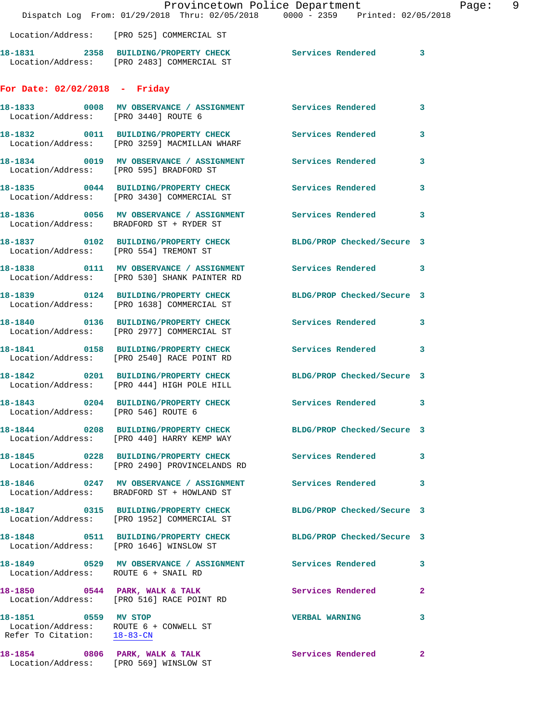|                                                     | Dispatch Log From: 01/29/2018 Thru: 02/05/2018 0000 - 2359 Printed: 02/05/2018                                | Provincetown Police Department | Page: 9      |  |
|-----------------------------------------------------|---------------------------------------------------------------------------------------------------------------|--------------------------------|--------------|--|
|                                                     | Location/Address: [PRO 525] COMMERCIAL ST                                                                     |                                |              |  |
|                                                     | 18-1831  2358  BUILDING/PROPERTY CHECK  Services Rendered  3<br>Location/Address: [PRO 2483] COMMERCIAL ST    |                                |              |  |
| For Date: 02/02/2018 - Friday                       |                                                                                                               |                                |              |  |
| Location/Address: [PRO 3440] ROUTE 6                | 18-1833 0008 MV OBSERVANCE / ASSIGNMENT Services Rendered 3                                                   |                                |              |  |
|                                                     | 18-1832 0011 BUILDING/PROPERTY CHECK Services Rendered 3<br>Location/Address: [PRO 3259] MACMILLAN WHARF      |                                |              |  |
|                                                     | 18-1834 0019 MV OBSERVANCE / ASSIGNMENT Services Rendered 3<br>Location/Address: [PRO 595] BRADFORD ST        |                                |              |  |
|                                                     | 18-1835 0044 BUILDING/PROPERTY CHECK Services Rendered 3<br>Location/Address: [PRO 3430] COMMERCIAL ST        |                                |              |  |
|                                                     | 18-1836 0056 MV OBSERVANCE / ASSIGNMENT Services Rendered 3<br>Location/Address: BRADFORD ST + RYDER ST       |                                |              |  |
|                                                     | 18-1837 0102 BUILDING/PROPERTY CHECK BLDG/PROP Checked/Secure 3<br>Location/Address: [PRO 554] TREMONT ST     |                                |              |  |
|                                                     | 18-1838 0111 MV OBSERVANCE / ASSIGNMENT Services Rendered 3<br>Location/Address: [PRO 530] SHANK PAINTER RD   |                                |              |  |
|                                                     | 18-1839 0124 BUILDING/PROPERTY CHECK<br>Location/Address: [PRO 1638] COMMERCIAL ST                            | BLDG/PROP Checked/Secure 3     |              |  |
|                                                     | 18-1840 0136 BUILDING/PROPERTY CHECK Services Rendered 3<br>Location/Address: [PRO 2977] COMMERCIAL ST        |                                |              |  |
|                                                     | 18-1841 0158 BUILDING/PROPERTY CHECK Services Rendered 3<br>Location/Address: [PRO 2540] RACE POINT RD        |                                |              |  |
|                                                     | 18-1842 0201 BUILDING/PROPERTY CHECK BLDG/PROP Checked/Secure 3<br>Location/Address: [PRO 444] HIGH POLE HILL |                                |              |  |
| Location/Address: [PRO 546] ROUTE 6                 | 18-1843 0204 BUILDING/PROPERTY CHECK Services Rendered 3                                                      |                                |              |  |
|                                                     | 18-1844 0208 BUILDING/PROPERTY CHECK BLDG/PROP Checked/Secure 3<br>Location/Address: [PRO 440] HARRY KEMP WAY |                                |              |  |
|                                                     | 18-1845 0228 BUILDING/PROPERTY CHECK Services Rendered 3<br>Location/Address: [PRO 2490] PROVINCELANDS RD     |                                |              |  |
|                                                     | 18-1846 0247 MV OBSERVANCE / ASSIGNMENT Services Rendered 3<br>Location/Address: BRADFORD ST + HOWLAND ST     |                                |              |  |
|                                                     | 18-1847 0315 BUILDING/PROPERTY CHECK BLDG/PROP Checked/Secure 3<br>Location/Address: [PRO 1952] COMMERCIAL ST |                                |              |  |
|                                                     | 18-1848 0511 BUILDING/PROPERTY CHECK BLDG/PROP Checked/Secure 3<br>Location/Address: [PRO 1646] WINSLOW ST    |                                |              |  |
| Location/Address: ROUTE 6 + SNAIL RD                | 18-1849 0529 MV OBSERVANCE / ASSIGNMENT Services Rendered 3                                                   |                                |              |  |
|                                                     | 18-1850 0544 PARK, WALK & TALK 3 Services Rendered 2<br>Location/Address: [PRO 516] RACE POINT RD             |                                |              |  |
| 18-1851 0559 MV STOP<br>Refer To Citation: 18-83-CN | Location/Address: ROUTE 6 + CONWELL ST                                                                        | <b>VERBAL WARNING</b>          | $\mathbf{3}$ |  |
| 18-1854 0806 PARK, WALK & TALK                      | Location/Address: [PRO 569] WINSLOW ST                                                                        | <b>Services Rendered</b> 2     |              |  |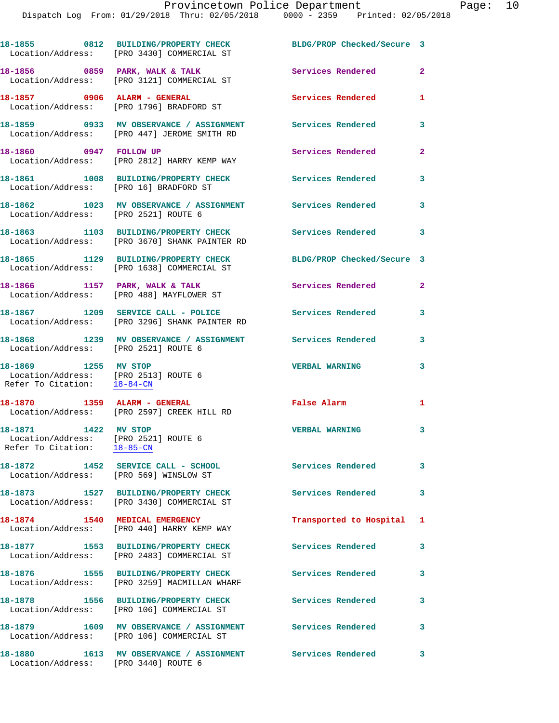|                                                                                             | 18-1855 0812 BUILDING/PROPERTY CHECK<br>Location/Address: [PRO 3430] COMMERCIAL ST     | BLDG/PROP Checked/Secure 3 |              |
|---------------------------------------------------------------------------------------------|----------------------------------------------------------------------------------------|----------------------------|--------------|
|                                                                                             | 18-1856 0859 PARK, WALK & TALK<br>Location/Address: [PRO 3121] COMMERCIAL ST           | Services Rendered          | $\mathbf{2}$ |
| 18-1857 0906 ALARM - GENERAL                                                                | Location/Address: [PRO 1796] BRADFORD ST                                               | Services Rendered          | $\mathbf{1}$ |
|                                                                                             | 18-1859 0933 MV OBSERVANCE / ASSIGNMENT<br>Location/Address: [PRO 447] JEROME SMITH RD | <b>Services Rendered</b>   | 3            |
| 18-1860 0947 FOLLOW UP                                                                      | Location/Address: [PRO 2812] HARRY KEMP WAY                                            | Services Rendered          | $\mathbf{2}$ |
| Location/Address: [PRO 16] BRADFORD ST                                                      | 18-1861 1008 BUILDING/PROPERTY CHECK                                                   | <b>Services Rendered</b>   | 3            |
| Location/Address: [PRO 2521] ROUTE 6                                                        | 18-1862 1023 MV OBSERVANCE / ASSIGNMENT                                                | <b>Services Rendered</b>   | 3            |
|                                                                                             | 18-1863 1103 BUILDING/PROPERTY CHECK<br>Location/Address: [PRO 3670] SHANK PAINTER RD  | Services Rendered          | 3            |
|                                                                                             | 18-1865 1129 BUILDING/PROPERTY CHECK<br>Location/Address: [PRO 1638] COMMERCIAL ST     | BLDG/PROP Checked/Secure 3 |              |
|                                                                                             | 18-1866 1157 PARK, WALK & TALK<br>Location/Address: [PRO 488] MAYFLOWER ST             | Services Rendered          | $\mathbf{2}$ |
|                                                                                             | 18-1867 1209 SERVICE CALL - POLICE<br>Location/Address: [PRO 3296] SHANK PAINTER RD    | <b>Services Rendered</b>   | 3            |
| Location/Address: [PRO 2521] ROUTE 6                                                        | 18-1868 1239 MV OBSERVANCE / ASSIGNMENT Services Rendered                              |                            | 3            |
| 18-1869 1255 MV STOP<br>Location/Address: [PRO 2513] ROUTE 6<br>Refer To Citation: 18-84-CN |                                                                                        | <b>VERBAL WARNING</b>      | 3            |
|                                                                                             | 18-1870    1359    ALARM - GENERAL<br>Location/Address: [PRO 2597] CREEK HILL RD       | False Alarm                | 1            |
| 18-1871 1422 MV STOP<br>Location/Address: [PRO 2521] ROUTE 6<br>Refer To Citation: 18-85-CN |                                                                                        | <b>VERBAL WARNING</b>      | 3            |
| 18-1872                                                                                     | 1452 SERVICE CALL - SCHOOL<br>Location/Address: [PRO 569] WINSLOW ST                   | <b>Services Rendered</b>   | 3            |
|                                                                                             | 18-1873 1527 BUILDING/PROPERTY CHECK<br>Location/Address: [PRO 3430] COMMERCIAL ST     | Services Rendered          | 3            |
| 18-1874                                                                                     | 1540 MEDICAL EMERGENCY<br>Location/Address: [PRO 440] HARRY KEMP WAY                   | Transported to Hospital 1  |              |
|                                                                                             | 18-1877 1553 BUILDING/PROPERTY CHECK<br>Location/Address: [PRO 2483] COMMERCIAL ST     | <b>Services Rendered</b>   | 3            |
|                                                                                             | 18-1876 1555 BUILDING/PROPERTY CHECK<br>Location/Address: [PRO 3259] MACMILLAN WHARF   | Services Rendered          | 3            |
|                                                                                             | 18-1878 1556 BUILDING/PROPERTY CHECK<br>Location/Address: [PRO 106] COMMERCIAL ST      | <b>Services Rendered</b>   | 3            |
|                                                                                             | Location/Address: [PRO 106] COMMERCIAL ST                                              | <b>Services Rendered</b>   | 3            |
| 18–1880                                                                                     | 1613 MV OBSERVANCE / ASSIGNMENT                                                        | Services Rendered          | 3            |

Location/Address: [PRO 3440] ROUTE 6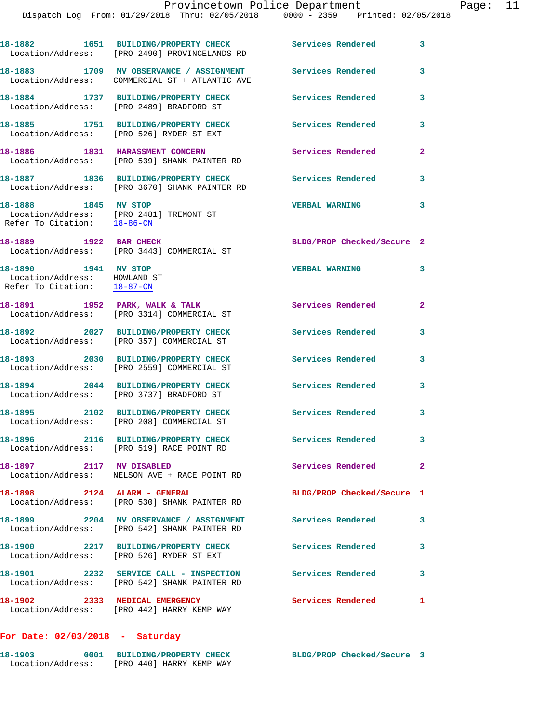|                                                                                     | 18-1882 1651 BUILDING/PROPERTY CHECK<br>Location/Address: [PRO 2490] PROVINCELANDS RD      | <b>Services Rendered</b>   | 3            |
|-------------------------------------------------------------------------------------|--------------------------------------------------------------------------------------------|----------------------------|--------------|
|                                                                                     | 18-1883 1709 MV OBSERVANCE / ASSIGNMENT<br>Location/Address: COMMERCIAL ST + ATLANTIC AVE  | Services Rendered          | 3            |
|                                                                                     | 18-1884 1737 BUILDING/PROPERTY CHECK<br>Location/Address: [PRO 2489] BRADFORD ST           | Services Rendered          | 3            |
|                                                                                     | 18-1885 1751 BUILDING/PROPERTY CHECK<br>Location/Address: [PRO 526] RYDER ST EXT           | <b>Services Rendered</b>   | 3            |
|                                                                                     | 18-1886 1831 HARASSMENT CONCERN<br>Location/Address: [PRO 539] SHANK PAINTER RD            | <b>Services Rendered</b>   | $\mathbf{2}$ |
|                                                                                     | 18-1887 1836 BUILDING/PROPERTY CHECK<br>Location/Address: [PRO 3670] SHANK PAINTER RD      | Services Rendered          | 3            |
| 18-1888 1845 MV STOP                                                                | Location/Address: [PRO 2481] TREMONT ST<br>Refer To Citation: $\frac{18-86-CN}{\sqrt{36}}$ | <b>VERBAL WARNING</b>      | 3            |
| 18-1889 1922 BAR CHECK                                                              | Location/Address: [PRO 3443] COMMERCIAL ST                                                 | BLDG/PROP Checked/Secure 2 |              |
| 18-1890 1941 MV STOP<br>Location/Address: HOWLAND ST<br>Refer To Citation: 18-87-CN |                                                                                            | <b>VERBAL WARNING</b>      | 3            |
|                                                                                     | 18-1891 1952 PARK, WALK & TALK<br>Location/Address: [PRO 3314] COMMERCIAL ST               | Services Rendered          | $\mathbf{2}$ |
|                                                                                     | 18-1892 2027 BUILDING/PROPERTY CHECK<br>Location/Address: [PRO 357] COMMERCIAL ST          | Services Rendered          | 3            |
|                                                                                     | 18-1893 2030 BUILDING/PROPERTY CHECK<br>Location/Address: [PRO 2559] COMMERCIAL ST         | Services Rendered          | 3            |
|                                                                                     | 18-1894 2044 BUILDING/PROPERTY CHECK<br>Location/Address: [PRO 3737] BRADFORD ST           | Services Rendered          | 3            |
|                                                                                     | 18-1895 2102 BUILDING/PROPERTY CHECK<br>Location/Address: [PRO 208] COMMERCIAL ST          | <b>Services Rendered</b>   | 3            |
| 18-1896                                                                             | 2116 BUILDING/PROPERTY CHECK<br>Location/Address: [PRO 519] RACE POINT RD                  | Services Rendered          | 3            |
| 18-1897 2117 MV DISABLED                                                            | Location/Address: NELSON AVE + RACE POINT RD                                               | Services Rendered          | $\mathbf{2}$ |
| 18-1898 2124 ALARM - GENERAL                                                        | Location/Address: [PRO 530] SHANK PAINTER RD                                               | BLDG/PROP Checked/Secure 1 |              |
|                                                                                     | 18-1899 2204 MV OBSERVANCE / ASSIGNMENT<br>Location/Address: [PRO 542] SHANK PAINTER RD    | Services Rendered          | 3            |
|                                                                                     | 18-1900 2217 BUILDING/PROPERTY CHECK<br>Location/Address: [PRO 526] RYDER ST EXT           | Services Rendered          | 3            |
|                                                                                     | 18-1901 2232 SERVICE CALL - INSPECTION<br>Location/Address: [PRO 542] SHANK PAINTER RD     | <b>Services Rendered</b>   | 3            |
| 18-1902 2333 MEDICAL EMERGENCY                                                      | Location/Address: [PRO 442] HARRY KEMP WAY                                                 | Services Rendered          | 1            |

## **For Date: 02/03/2018 - Saturday**

| 18-1903           | 0001 | <b>BUILDING/PROPERTY CHECK</b> | BLDG/PROP Checked/Secure 3 |  |
|-------------------|------|--------------------------------|----------------------------|--|
| Location/Address: |      | [PRO 440] HARRY KEMP WAY       |                            |  |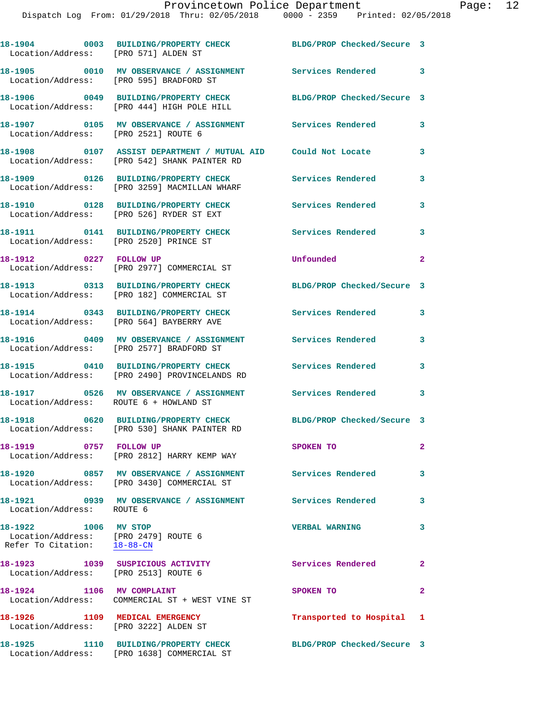| Location/Address: [PRO 571] ALDEN ST                                                                     | 18-1904 0003 BUILDING/PROPERTY CHECK BLDG/PROP Checked/Secure 3                                                    |                            |                         |
|----------------------------------------------------------------------------------------------------------|--------------------------------------------------------------------------------------------------------------------|----------------------------|-------------------------|
|                                                                                                          | 18-1905 0010 MV OBSERVANCE / ASSIGNMENT Services Rendered 3<br>Location/Address: [PRO 595] BRADFORD ST             |                            |                         |
|                                                                                                          | 18-1906 0049 BUILDING/PROPERTY CHECK<br>Location/Address: [PRO 444] HIGH POLE HILL                                 | BLDG/PROP Checked/Secure 3 |                         |
| Location/Address: [PRO 2521] ROUTE 6                                                                     | 18-1907 6105 MV OBSERVANCE / ASSIGNMENT Services Rendered                                                          |                            | 3                       |
|                                                                                                          | 18-1908   0107   ASSIST DEPARTMENT / MUTUAL AID   Could Not Locate<br>Location/Address: [PRO 542] SHANK PAINTER RD |                            | 3                       |
|                                                                                                          | 18-1909 0126 BUILDING/PROPERTY CHECK<br>Location/Address: [PRO 3259] MACMILLAN WHARF                               | Services Rendered          | 3                       |
|                                                                                                          | 18-1910 0128 BUILDING/PROPERTY CHECK<br>Location/Address: [PRO 526] RYDER ST EXT                                   | <b>Services Rendered</b>   | 3                       |
| Location/Address: [PRO 2520] PRINCE ST                                                                   |                                                                                                                    |                            |                         |
| 18-1912 0227 FOLLOW UP                                                                                   | Location/Address: [PRO 2977] COMMERCIAL ST                                                                         | Unfounded                  | $\mathbf{2}$            |
|                                                                                                          | 18-1913 0313 BUILDING/PROPERTY CHECK<br>Location/Address: [PRO 182] COMMERCIAL ST                                  | BLDG/PROP Checked/Secure 3 |                         |
|                                                                                                          | 18-1914 0343 BUILDING/PROPERTY CHECK<br>Location/Address: [PRO 564] BAYBERRY AVE                                   | <b>Services Rendered</b>   | 3                       |
|                                                                                                          | 18-1916 6409 MV OBSERVANCE / ASSIGNMENT Services Rendered<br>Location/Address: [PRO 2577] BRADFORD ST              |                            | 3                       |
|                                                                                                          | 18-1915 0410 BUILDING/PROPERTY CHECK<br>Location/Address: [PRO 2490] PROVINCELANDS RD                              | <b>Services Rendered</b>   | 3                       |
| Location/Address: ROUTE 6 + HOWLAND ST                                                                   | 18-1917 0526 MV OBSERVANCE / ASSIGNMENT Services Rendered 3                                                        |                            |                         |
|                                                                                                          | 18-1918 0620 BUILDING/PROPERTY CHECK<br>Location/Address: [PRO 530] SHANK PAINTER RD                               | BLDG/PROP Checked/Secure 3 |                         |
| 18-1919 0757 FOLLOW UP                                                                                   | Location/Address: [PRO 2812] HARRY KEMP WAY                                                                        | SPOKEN TO                  | $\mathbf{2}$            |
|                                                                                                          | 18-1920 0857 MV OBSERVANCE / ASSIGNMENT Services Rendered<br>Location/Address: [PRO 3430] COMMERCIAL ST            |                            | 3                       |
| Location/Address: ROUTE 6                                                                                | 18-1921 6939 MV OBSERVANCE / ASSIGNMENT Services Rendered                                                          |                            | 3                       |
| 18-1922 1006 MV STOP<br>Location/Address: [PRO 2479] ROUTE 6<br>Refer To Citation: $\frac{18-88-CN}{\ }$ |                                                                                                                    | <b>VERBAL WARNING</b>      | 3                       |
| 18-1923 1039 SUSPICIOUS ACTIVITY<br>Location/Address: [PRO 2513] ROUTE 6                                 |                                                                                                                    | Services Rendered          | $\overline{\mathbf{2}}$ |
| 18-1924 1106 MV COMPLAINT                                                                                | Location/Address: COMMERCIAL ST + WEST VINE ST                                                                     | SPOKEN TO                  | $\mathbf{2}$            |
| 18-1926 1109 MEDICAL EMERGENCY<br>Location/Address: [PRO 3222] ALDEN ST                                  |                                                                                                                    | Transported to Hospital 1  |                         |
|                                                                                                          | 18-1925 1110 BUILDING/PROPERTY CHECK<br>Location/Address: [PRO 1638] COMMERCIAL ST                                 | BLDG/PROP Checked/Secure 3 |                         |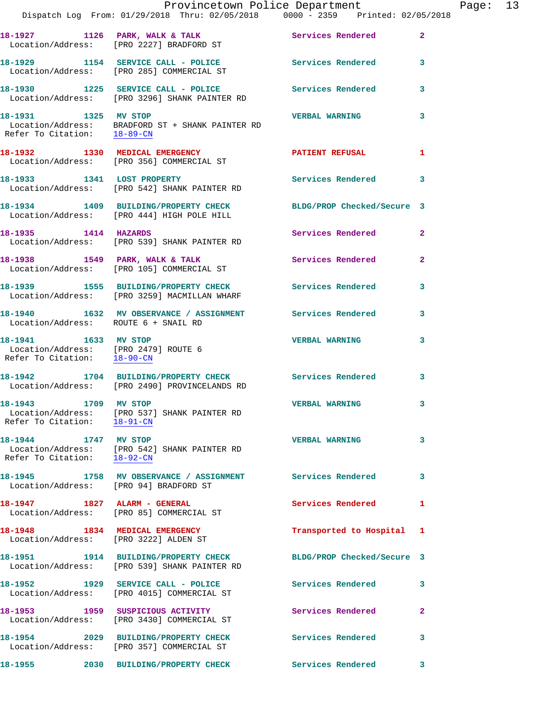|                                                                                             | Provincetown Police Department<br>Dispatch Log From: 01/29/2018 Thru: 02/05/2018 0000 - 2359 Printed: 02/05/2018 |                            |                |
|---------------------------------------------------------------------------------------------|------------------------------------------------------------------------------------------------------------------|----------------------------|----------------|
|                                                                                             | 18-1927 1126 PARK, WALK & TALK<br>Location/Address: [PRO 2227] BRADFORD ST                                       | Services Rendered          | $\mathbf{2}$   |
|                                                                                             | 18-1929 1154 SERVICE CALL - POLICE<br>Location/Address: [PRO 285] COMMERCIAL ST                                  | <b>Services Rendered</b>   | 3              |
|                                                                                             | 18-1930 1225 SERVICE CALL - POLICE<br>Location/Address: [PRO 3296] SHANK PAINTER RD                              | <b>Services Rendered</b>   | 3              |
| 18-1931 1325 MV STOP                                                                        | Location/Address: BRADFORD ST + SHANK PAINTER RD<br>Refer To Citation: $18-89$ -CN                               | <b>VERBAL WARNING</b>      | 3              |
|                                                                                             | 18-1932 1330 MEDICAL EMERGENCY<br>Location/Address: [PRO 356] COMMERCIAL ST                                      | <b>PATIENT REFUSAL</b>     | 1              |
| 18-1933 1341 LOST PROPERTY                                                                  | Location/Address: [PRO 542] SHANK PAINTER RD                                                                     | Services Rendered          | 3              |
|                                                                                             | 18-1934 1409 BUILDING/PROPERTY CHECK<br>Location/Address: [PRO 444] HIGH POLE HILL                               | BLDG/PROP Checked/Secure 3 |                |
| 18-1935 1414 HAZARDS                                                                        | Location/Address: [PRO 539] SHANK PAINTER RD                                                                     | Services Rendered          | $\mathbf{2}$   |
|                                                                                             | 18-1938 1549 PARK, WALK & TALK<br>Location/Address: [PRO 105] COMMERCIAL ST                                      | <b>Services Rendered</b>   | $\overline{2}$ |
|                                                                                             | 18-1939 1555 BUILDING/PROPERTY CHECK<br>Location/Address: [PRO 3259] MACMILLAN WHARF                             | <b>Services Rendered</b>   | 3              |
| Location/Address: ROUTE 6 + SNAIL RD                                                        | 18-1940 1632 MV OBSERVANCE / ASSIGNMENT Services Rendered                                                        |                            | 3              |
| 18-1941 1633 MV STOP<br>Location/Address: [PRO 2479] ROUTE 6<br>Refer To Citation: 18-90-CN |                                                                                                                  | <b>VERBAL WARNING</b>      | 3              |
| 18-1942                                                                                     | 1704 BUILDING/PROPERTY CHECK<br>Location/Address: [PRO 2490] PROVINCELANDS RD                                    | <b>Services Rendered</b>   | 3              |
| 18-1943 1709 MV STOP<br>Refer To Citation: 18-91-CN                                         | Location/Address: [PRO 537] SHANK PAINTER RD                                                                     | <b>VERBAL WARNING</b>      | 3              |
| 18-1944 1747 MV STOP<br>Refer To Citation: 18-92-CN                                         | Location/Address: [PRO 542] SHANK PAINTER RD                                                                     | <b>VERBAL WARNING</b>      | 3              |
| Location/Address: [PRO 94] BRADFORD ST                                                      |                                                                                                                  |                            | 3              |
| 18-1947 1827 ALARM - GENERAL                                                                | Location/Address: [PRO 85] COMMERCIAL ST                                                                         | <b>Services Rendered</b>   | 1              |
| 18-1948 1834 MEDICAL EMERGENCY<br>Location/Address: [PRO 3222] ALDEN ST                     |                                                                                                                  | Transported to Hospital    | 1              |
|                                                                                             | 18-1951 1914 BUILDING/PROPERTY CHECK<br>Location/Address: [PRO 539] SHANK PAINTER RD                             | BLDG/PROP Checked/Secure 3 |                |
|                                                                                             | 18-1952 1929 SERVICE CALL - POLICE<br>Location/Address: [PRO 4015] COMMERCIAL ST                                 | Services Rendered          | 3              |
|                                                                                             | 18-1953 1959 SUSPICIOUS ACTIVITY<br>Location/Address: [PRO 3430] COMMERCIAL ST                                   | Services Rendered          | 2              |
|                                                                                             | 18-1954 2029 BUILDING/PROPERTY CHECK<br>Location/Address: [PRO 357] COMMERCIAL ST                                | Services Rendered          | 3              |
| 18-1955 и постановки при                                                                    | 2030 BUILDING/PROPERTY CHECK                                                                                     | <b>Services Rendered</b>   | 3              |

Page: 13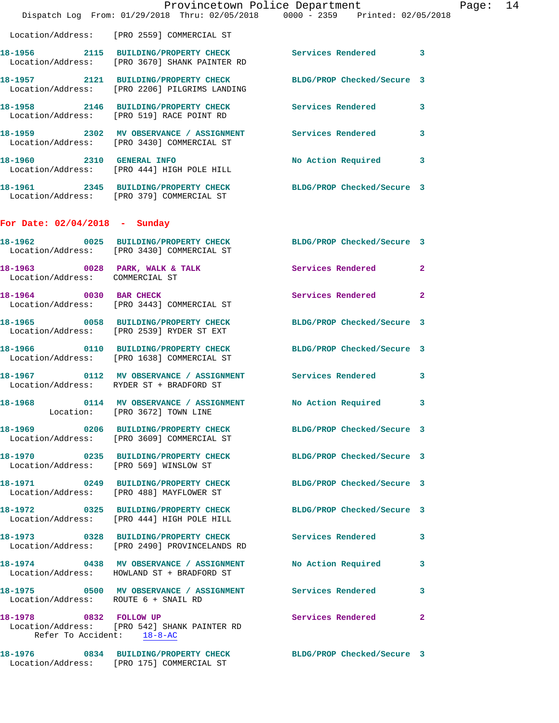|                                                      |                                                                                       | Provincetown Police Department<br>Dispatch Log From: 01/29/2018 Thru: 02/05/2018 0000 - 2359 Printed: 02/05/2018 | Page: 14 |
|------------------------------------------------------|---------------------------------------------------------------------------------------|------------------------------------------------------------------------------------------------------------------|----------|
|                                                      | Location/Address: [PRO 2559] COMMERCIAL ST                                            |                                                                                                                  |          |
|                                                      | Location/Address: [PRO 3670] SHANK PAINTER RD                                         | 18-1956 2115 BUILDING/PROPERTY CHECK Services Rendered 3                                                         |          |
|                                                      | Location/Address: [PRO 2206] PILGRIMS LANDING                                         | 18-1957 2121 BUILDING/PROPERTY CHECK BLDG/PROP Checked/Secure 3                                                  |          |
|                                                      | Location/Address: [PRO 519] RACE POINT RD                                             | 18-1958 2146 BUILDING/PROPERTY CHECK Services Rendered 3                                                         |          |
|                                                      | Location/Address: [PRO 3430] COMMERCIAL ST                                            | 18-1959 2302 MV OBSERVANCE / ASSIGNMENT Services Rendered 3                                                      |          |
| 18-1960 2310 GENERAL INFO                            | Location/Address: [PRO 444] HIGH POLE HILL                                            | No Action Required 3                                                                                             |          |
|                                                      | Location/Address: [PRO 379] COMMERCIAL ST                                             | 18-1961 2345 BUILDING/PROPERTY CHECK BLDG/PROP Checked/Secure 3                                                  |          |
| For Date: $02/04/2018$ - Sunday                      |                                                                                       |                                                                                                                  |          |
|                                                      | Location/Address: [PRO 3430] COMMERCIAL ST                                            | 18-1962 0025 BUILDING/PROPERTY CHECK BLDG/PROP Checked/Secure 3                                                  |          |
| Location/Address: COMMERCIAL ST                      |                                                                                       | 18-1963 0028 PARK, WALK & TALK Services Rendered 2                                                               |          |
|                                                      | 18-1964 0030 BAR CHECK<br>Location/Address: [PRO 3443] COMMERCIAL ST                  | Services Rendered 2                                                                                              |          |
|                                                      | Location/Address: [PRO 2539] RYDER ST EXT                                             | 18-1965 0058 BUILDING/PROPERTY CHECK BLDG/PROP Checked/Secure 3                                                  |          |
|                                                      | Location/Address: [PRO 1638] COMMERCIAL ST                                            | 18-1966 0110 BUILDING/PROPERTY CHECK BLDG/PROP Checked/Secure 3                                                  |          |
|                                                      | Location/Address: RYDER ST + BRADFORD ST                                              | 18-1967   0112 MV OBSERVANCE / ASSIGNMENT   Services Rendered   3                                                |          |
|                                                      | Location: [PRO 3672] TOWN LINE                                                        | 18-1968 0114 MV OBSERVANCE / ASSIGNMENT No Action Required 3                                                     |          |
|                                                      | Location/Address: [PRO 3609] COMMERCIAL ST                                            | 18-1969 0206 BUILDING/PROPERTY CHECK BLDG/PROP Checked/Secure 3                                                  |          |
|                                                      | Location/Address: [PRO 569] WINSLOW ST                                                | 18-1970 0235 BUILDING/PROPERTY CHECK BLDG/PROP Checked/Secure 3                                                  |          |
|                                                      | Location/Address: [PRO 488] MAYFLOWER ST                                              | 18-1971 0249 BUILDING/PROPERTY CHECK BLDG/PROP Checked/Secure 3                                                  |          |
|                                                      | Location/Address: [PRO 444] HIGH POLE HILL                                            | 18-1972 0325 BUILDING/PROPERTY CHECK BLDG/PROP Checked/Secure 3                                                  |          |
|                                                      | Location/Address: [PRO 2490] PROVINCELANDS RD                                         | 18-1973 0328 BUILDING/PROPERTY CHECK Services Rendered 3                                                         |          |
|                                                      | 18-1974 0438 MV OBSERVANCE / ASSIGNMENT<br>Location/Address: HOWLAND ST + BRADFORD ST | No Action Required 3                                                                                             |          |
| Location/Address: ROUTE 6 + SNAIL RD                 |                                                                                       | 18-1975 0500 MV OBSERVANCE / ASSIGNMENT Services Rendered<br>3                                                   |          |
| 18-1978 0832 FOLLOW UP<br>Refer To Accident: 18-8-AC | Location/Address: [PRO 542] SHANK PAINTER RD                                          | Services Rendered 2                                                                                              |          |
|                                                      | Location/Address: [PRO 175] COMMERCIAL ST                                             | 18-1976 0834 BUILDING/PROPERTY CHECK BLDG/PROP Checked/Secure 3                                                  |          |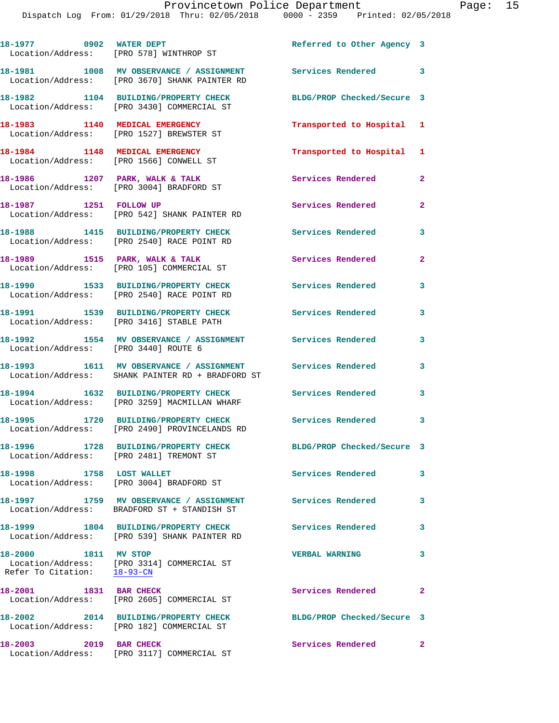| 18-1977 0902 WATER DEPT                             | Location/Address: [PRO 578] WINTHROP ST                                                                                                    | Referred to Other Agency 3    |                |
|-----------------------------------------------------|--------------------------------------------------------------------------------------------------------------------------------------------|-------------------------------|----------------|
|                                                     | 18-1981 1008 MV OBSERVANCE / ASSIGNMENT<br>Location/Address: [PRO 3670] SHANK PAINTER RD                                                   | Services Rendered 3           |                |
|                                                     | 18-1982 1104 BUILDING/PROPERTY CHECK<br>Location/Address: [PRO 3430] COMMERCIAL ST                                                         | BLDG/PROP Checked/Secure 3    |                |
| 18-1983 1140 MEDICAL EMERGENCY                      | Location/Address: [PRO 1527] BREWSTER ST                                                                                                   | Transported to Hospital 1     |                |
|                                                     | 18-1984 1148 MEDICAL EMERGENCY<br>Location/Address: [PRO 1566] CONWELL ST                                                                  | Transported to Hospital 1     |                |
|                                                     | 18-1986 1207 PARK, WALK & TALK<br>Location/Address: [PRO 3004] BRADFORD ST                                                                 | Services Rendered             | $\mathbf{2}$   |
| 18-1987 1251 FOLLOW UP                              | Location/Address: [PRO 542] SHANK PAINTER RD                                                                                               | Services Rendered             | $\overline{2}$ |
|                                                     | 18-1988 1415 BUILDING/PROPERTY CHECK<br>Location/Address: [PRO 2540] RACE POINT RD                                                         | <b>Services Rendered</b>      | 3              |
|                                                     | 18-1989 1515 PARK, WALK & TALK<br>Location/Address: [PRO 105] COMMERCIAL ST                                                                | <b>Services Rendered</b>      | $\overline{2}$ |
|                                                     | 18-1990 1533 BUILDING/PROPERTY CHECK<br>Location/Address: [PRO 2540] RACE POINT RD                                                         | <b>Services Rendered</b>      | 3              |
|                                                     | 18-1991 1539 BUILDING/PROPERTY CHECK<br>Location/Address: [PRO 3416] STABLE PATH                                                           | <b>Services Rendered</b>      | 3              |
| Location/Address: [PRO 3440] ROUTE 6                | 18-1992 1554 MV OBSERVANCE / ASSIGNMENT Services Rendered                                                                                  |                               | 3              |
|                                                     | 18-1993 1611 MV OBSERVANCE / ASSIGNMENT<br>Location/Address: SHANK PAINTER RD + BRADFORD ST                                                | Services Rendered             | 3              |
|                                                     | 18-1994 1632 BUILDING/PROPERTY CHECK<br>Location/Address: [PRO 3259] MACMILLAN WHARF                                                       | <b>Services Rendered</b>      | 3              |
|                                                     | 18-1995 1720 BUILDING/PROPERTY CHECK<br>Location/Address: [PRO 2490] PROVINCELANDS RD                                                      | <b>Services Rendered</b>      | 3              |
|                                                     | 18-1996 1728 BUILDING/PROPERTY CHECK<br>Location/Address: [PRO 2481] TREMONT ST                                                            | BLDG/PROP Checked/Secure 3    |                |
| 18-1998                                             | 1758 LOST WALLET<br>Location/Address: [PRO 3004] BRADFORD ST                                                                               | Services Rendered             | 3              |
|                                                     | 18-1997                 1759    MV OBSERVANCE  / ASSIGNMENT               Services Rendered<br>Location/Address: BRADFORD ST + STANDISH ST |                               | 3              |
|                                                     | 18-1999 1804 BUILDING/PROPERTY CHECK<br>Location/Address: [PRO 539] SHANK PAINTER RD                                                       | <b>Services Rendered</b>      | 3              |
| 18-2000 1811 MV STOP<br>Refer To Citation: 18-93-CN | Location/Address: [PRO 3314] COMMERCIAL ST                                                                                                 | <b>VERBAL WARNING</b>         | 3              |
| 18-2001 1831 BAR CHECK                              | Location/Address: [PRO 2605] COMMERCIAL ST                                                                                                 | Services Rendered             | $\mathbf{2}$   |
|                                                     | 18-2002 2014 BUILDING/PROPERTY CHECK<br>Location/Address: [PRO 182] COMMERCIAL ST                                                          | BLDG/PROP Checked/Secure 3    |                |
| 18-2003<br>2019 BAR CHECK                           |                                                                                                                                            | Services Rendered<br>$\sim$ 2 |                |

Location/Address: [PRO 3117] COMMERCIAL ST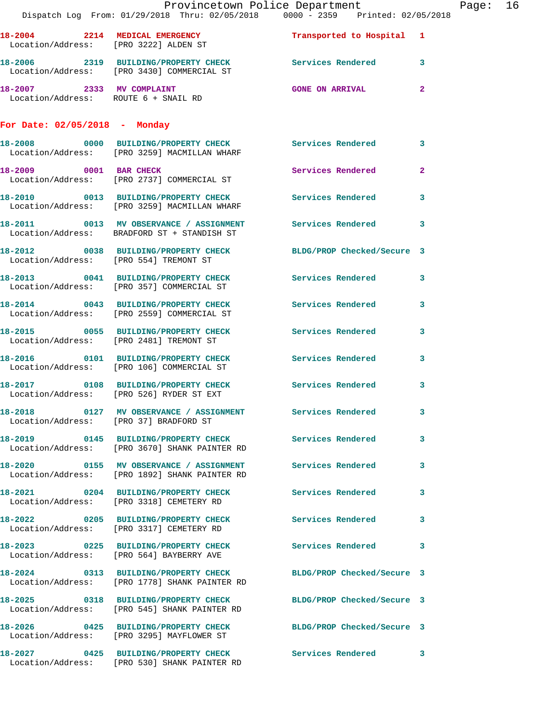|                                        | Dispatch Log From: 01/29/2018 Thru: 02/05/2018 0000 - 2359 Printed: 02/05/2018                                   | Provincetown Police Department |              | Page: 16 |  |
|----------------------------------------|------------------------------------------------------------------------------------------------------------------|--------------------------------|--------------|----------|--|
|                                        | 18-2004 2214 MEDICAL EMERGENCY<br>Location/Address: [PRO 3222] ALDEN ST                                          | Transported to Hospital 1      |              |          |  |
|                                        | 18-2006 2319 BUILDING/PROPERTY CHECK Services Rendered 3<br>Location/Address: [PRO 3430] COMMERCIAL ST           |                                |              |          |  |
|                                        | 18-2007 2333 MV COMPLAINT<br>Location/Address: ROUTE 6 + SNAIL RD                                                | GONE ON ARRIVAL 2              |              |          |  |
| For Date: $02/05/2018$ - Monday        |                                                                                                                  |                                |              |          |  |
|                                        | 18-2008 0000 BUILDING/PROPERTY CHECK Services Rendered 3<br>Location/Address: [PRO 3259] MACMILLAN WHARF         |                                |              |          |  |
|                                        | 18-2009 0001 BAR CHECK<br>Location/Address: [PRO 2737] COMMERCIAL ST                                             | <b>Services Rendered</b>       | $\mathbf{2}$ |          |  |
|                                        | 18-2010 0013 BUILDING/PROPERTY CHECK Services Rendered 3<br>Location/Address: [PRO 3259] MACMILLAN WHARF         |                                |              |          |  |
|                                        | 18-2011 0013 MV OBSERVANCE / ASSIGNMENT Services Rendered 3<br>Location/Address: BRADFORD ST + STANDISH ST       |                                |              |          |  |
|                                        | 18-2012 0038 BUILDING/PROPERTY CHECK BLDG/PROP Checked/Secure 3<br>Location/Address: [PRO 554] TREMONT ST        |                                |              |          |  |
|                                        | 18-2013 0041 BUILDING/PROPERTY CHECK Services Rendered 3<br>Location/Address: [PRO 357] COMMERCIAL ST            |                                |              |          |  |
|                                        | 18-2014 0043 BUILDING/PROPERTY CHECK Services Rendered 3<br>Location/Address: [PRO 2559] COMMERCIAL ST           |                                |              |          |  |
|                                        | 18-2015 0055 BUILDING/PROPERTY CHECK Services Rendered<br>Location/Address: [PRO 2481] TREMONT ST                |                                | 3            |          |  |
|                                        | 18-2016  0101 BUILDING/PROPERTY CHECK Services Rendered 3<br>Location/Address: [PRO 106] COMMERCIAL ST           |                                |              |          |  |
|                                        | 18-2017 0108 BUILDING/PROPERTY CHECK Services Rendered 3<br>Location/Address: [PRO 526] RYDER ST EXT             |                                |              |          |  |
| Location/Address: [PRO 37] BRADFORD ST | 18-2018 6127 MV OBSERVANCE / ASSIGNMENT Services Rendered 3                                                      |                                |              |          |  |
|                                        | Location/Address: [PRO 3670] SHANK PAINTER RD                                                                    |                                |              |          |  |
|                                        | Location/Address: [PRO 1892] SHANK PAINTER RD                                                                    |                                |              |          |  |
|                                        | 18-2021 0204 BUILDING/PROPERTY CHECK Services Rendered<br>Location/Address: [PRO 3318] CEMETERY RD               |                                | 3            |          |  |
|                                        | 18-2022 0205 BUILDING/PROPERTY CHECK Services Rendered 3<br>Location/Address: [PRO 3317] CEMETERY RD             |                                |              |          |  |
|                                        | 18-2023 0225 BUILDING/PROPERTY CHECK Services Rendered 3<br>Location/Address: [PRO 564] BAYBERRY AVE             |                                |              |          |  |
|                                        | 18-2024 0313 BUILDING/PROPERTY CHECK BLDG/PROP Checked/Secure 3<br>Location/Address: [PRO 1778] SHANK PAINTER RD |                                |              |          |  |
|                                        | 18-2025 0318 BUILDING/PROPERTY CHECK BLDG/PROP Checked/Secure 3<br>Location/Address: [PRO 545] SHANK PAINTER RD  |                                |              |          |  |
|                                        | 18-2026 0425 BUILDING/PROPERTY CHECK BLDG/PROP Checked/Secure 3<br>Location/Address: [PRO 3295] MAYFLOWER ST     |                                |              |          |  |
|                                        | 18-2027 0425 BUILDING/PROPERTY CHECK Services Rendered 3<br>Location/Address: [PRO 530] SHANK PAINTER RD         |                                |              |          |  |